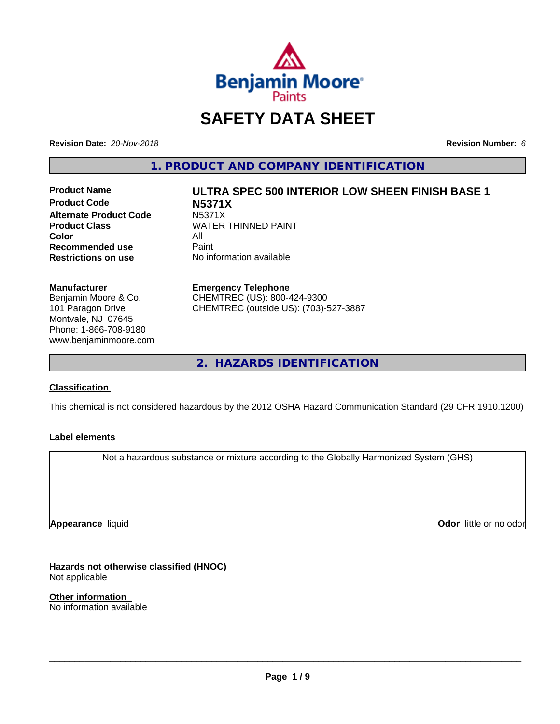

## **SAFETY DATA SHEET**

**Revision Date:** *20-Nov-2018* **Revision Number:** *6*

**1. PRODUCT AND COMPANY IDENTIFICATION**

**Product Code N5371X Alternate Product Code** N5371X<br>Product Class WATER **Color** All<br> **Recommended use** Paint **Recommended use**<br>Restrictions on use

# **Product Name ULTRA SPEC 500 INTERIOR LOW SHEEN FINISH BASE 1 WATER THINNED PAINT**

**No information available** 

#### **Manufacturer**

Benjamin Moore & Co. 101 Paragon Drive Montvale, NJ 07645 Phone: 1-866-708-9180 www.benjaminmoore.com

#### **Emergency Telephone**

CHEMTREC (US): 800-424-9300 CHEMTREC (outside US): (703)-527-3887

**2. HAZARDS IDENTIFICATION**

#### **Classification**

This chemical is not considered hazardous by the 2012 OSHA Hazard Communication Standard (29 CFR 1910.1200)

#### **Label elements**

Not a hazardous substance or mixture according to the Globally Harmonized System (GHS)

**Appearance** liquid

**Odor** little or no odor

**Hazards not otherwise classified (HNOC)** Not applicable

**Other information** No information available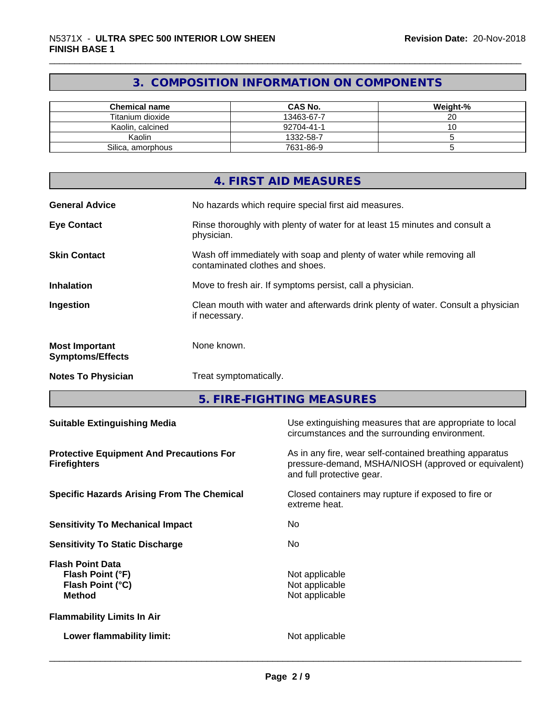### **3. COMPOSITION INFORMATION ON COMPONENTS**

| <b>Chemical name</b> | <b>CAS No.</b> | Weight-%     |
|----------------------|----------------|--------------|
| Titanium dioxide     | 13463-67-7     | $\sim$<br>∠∪ |
| Kaolin, calcined     | 92704-41-1     | ັບ           |
| Kaolin               | 1332-58-7      |              |
| Silica, amorphous    | 7631-86-9      |              |

|                                                  | 4. FIRST AID MEASURES                                                                                    |
|--------------------------------------------------|----------------------------------------------------------------------------------------------------------|
| <b>General Advice</b>                            | No hazards which require special first aid measures.                                                     |
| <b>Eye Contact</b>                               | Rinse thoroughly with plenty of water for at least 15 minutes and consult a<br>physician.                |
| <b>Skin Contact</b>                              | Wash off immediately with soap and plenty of water while removing all<br>contaminated clothes and shoes. |
| <b>Inhalation</b>                                | Move to fresh air. If symptoms persist, call a physician.                                                |
| Ingestion                                        | Clean mouth with water and afterwards drink plenty of water. Consult a physician<br>if necessary.        |
| <b>Most Important</b><br><b>Symptoms/Effects</b> | None known.                                                                                              |
| <b>Notes To Physician</b>                        | Treat symptomatically.                                                                                   |

**5. FIRE-FIGHTING MEASURES**

| <b>Suitable Extinguishing Media</b>                                              | Use extinguishing measures that are appropriate to local<br>circumstances and the surrounding environment.                                   |
|----------------------------------------------------------------------------------|----------------------------------------------------------------------------------------------------------------------------------------------|
| <b>Protective Equipment And Precautions For</b><br><b>Firefighters</b>           | As in any fire, wear self-contained breathing apparatus<br>pressure-demand, MSHA/NIOSH (approved or equivalent)<br>and full protective gear. |
| <b>Specific Hazards Arising From The Chemical</b>                                | Closed containers may rupture if exposed to fire or<br>extreme heat.                                                                         |
| <b>Sensitivity To Mechanical Impact</b>                                          | No.                                                                                                                                          |
| <b>Sensitivity To Static Discharge</b>                                           | No.                                                                                                                                          |
| <b>Flash Point Data</b><br>Flash Point (°F)<br>Flash Point (°C)<br><b>Method</b> | Not applicable<br>Not applicable<br>Not applicable                                                                                           |
| <b>Flammability Limits In Air</b>                                                |                                                                                                                                              |
| Lower flammability limit:                                                        | Not applicable                                                                                                                               |
|                                                                                  |                                                                                                                                              |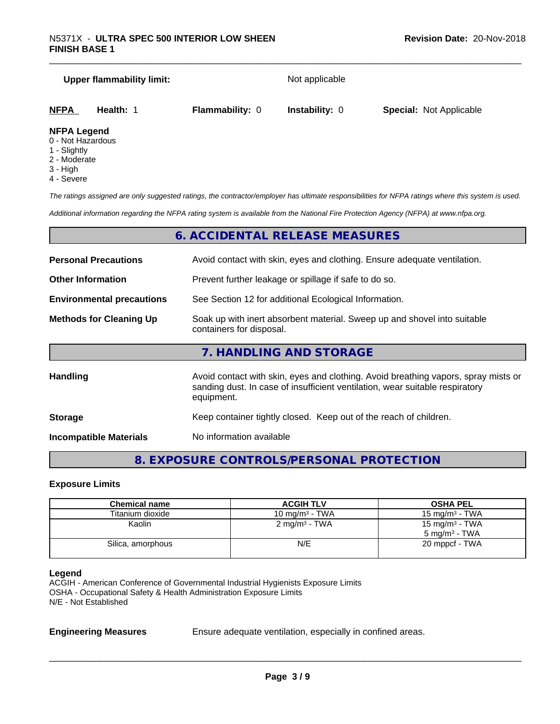# **Upper flammability limit:** Not applicable **NFPA Health:** 1 **Flammability:** 0 **Instability:** 0 **Special:** Not Applicable

#### **NFPA Legend**

- 0 Not Hazardous
- 1 Slightly
- 2 Moderate
- 3 High
- 4 Severe

*The ratings assigned are only suggested ratings, the contractor/employer has ultimate responsibilities for NFPA ratings where this system is used.*

*Additional information regarding the NFPA rating system is available from the National Fire Protection Agency (NFPA) at www.nfpa.org.*

#### **6. ACCIDENTAL RELEASE MEASURES**

| <b>Personal Precautions</b>      | Avoid contact with skin, eyes and clothing. Ensure adequate ventilation.                                                                                                         |  |
|----------------------------------|----------------------------------------------------------------------------------------------------------------------------------------------------------------------------------|--|
| <b>Other Information</b>         | Prevent further leakage or spillage if safe to do so.                                                                                                                            |  |
| <b>Environmental precautions</b> | See Section 12 for additional Ecological Information.                                                                                                                            |  |
| <b>Methods for Cleaning Up</b>   | Soak up with inert absorbent material. Sweep up and shovel into suitable<br>containers for disposal.                                                                             |  |
|                                  | 7. HANDLING AND STORAGE                                                                                                                                                          |  |
| <b>Handling</b>                  | Avoid contact with skin, eyes and clothing. Avoid breathing vapors, spray mists or<br>sanding dust. In case of insufficient ventilation, wear suitable respiratory<br>equipment. |  |
| <b>Storage</b>                   | Keep container tightly closed. Keep out of the reach of children.                                                                                                                |  |

**Incompatible Materials** No information available

#### **8. EXPOSURE CONTROLS/PERSONAL PROTECTION**

#### **Exposure Limits**

| <b>Chemical name</b> | <b>ACGIH TLV</b>         | <b>OSHA PEL</b>                                        |
|----------------------|--------------------------|--------------------------------------------------------|
| Titanium dioxide     | 10 mg/m $3$ - TWA        | 15 mg/m $3$ - TWA                                      |
| Kaolin               | $2 \text{ mg/m}^3$ - TWA | 15 mg/m <sup>3</sup> - TWA<br>$5 \text{ mg/m}^3$ - TWA |
| Silica, amorphous    | N/E                      | 20 mppcf - TWA                                         |
|                      |                          |                                                        |

#### **Legend**

ACGIH - American Conference of Governmental Industrial Hygienists Exposure Limits OSHA - Occupational Safety & Health Administration Exposure Limits N/E - Not Established

**Engineering Measures** Ensure adequate ventilation, especially in confined areas.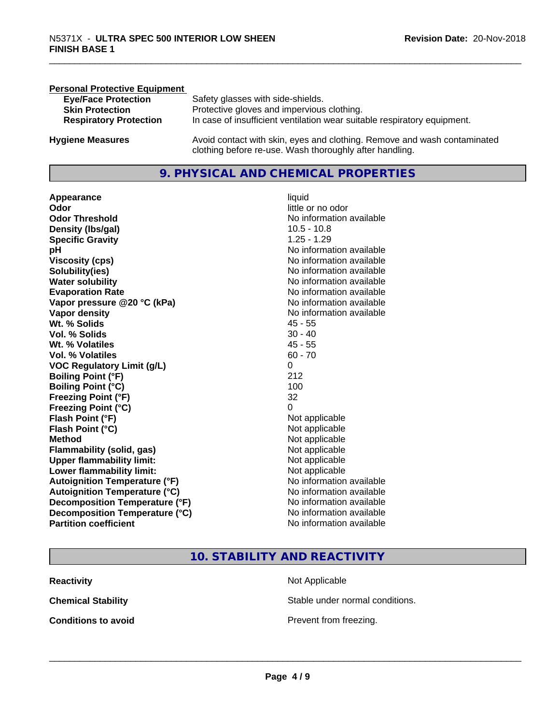| <b>Personal Protective Equipment</b> |                                                                                                                                     |
|--------------------------------------|-------------------------------------------------------------------------------------------------------------------------------------|
| <b>Eye/Face Protection</b>           | Safety glasses with side-shields.                                                                                                   |
| <b>Skin Protection</b>               | Protective gloves and impervious clothing.                                                                                          |
| <b>Respiratory Protection</b>        | In case of insufficient ventilation wear suitable respiratory equipment.                                                            |
| <b>Hygiene Measures</b>              | Avoid contact with skin, eyes and clothing. Remove and wash contaminated<br>clothing before re-use. Wash thoroughly after handling. |

#### **9. PHYSICAL AND CHEMICAL PROPERTIES**

**Appearance** liquid **Odor** little or no odor **Odor Threshold**<br> **Density (Ibs/gal)**<br> **Density (Ibs/gal)**<br> **No information available**<br>  $10.5 - 10.8$ **Density (Ibs/gal) Specific Gravity** 1.25 - 1.29 **pH pH**  $\blacksquare$ **Viscosity (cps)** <br> **Viscosity (cps)** No information available<br>
No information available<br>
No information available **Solubility(ies)**<br> **No information available**<br> **Water solubility**<br> **Water solubility Evaporation Rate Evaporation Rate No information available Vapor pressure @20 °C (kPa)** No information available **Vapor density**<br> **Vapor density**<br> **With % Solids**<br>
With % Solids
2018 Wt. % Solids **Vol. % Solids** 30 - 40 **Wt. % Volatiles** 45 - 55 **Vol. % Volatiles** 60 - 70 **VOC Regulatory Limit (g/L)** 0 **Boiling Point (°F)** 212 **Boiling Point (°C)** 100 **Freezing Point (°F)** 32 **Freezing Point (°C)** 0 **Flash Point (°F)**<br> **Flash Point (°C)**<br> **Flash Point (°C)**<br> **C Flash Point (°C) Method** Not applicable not applicable not applicable not applicable not applicable not applicable not applicable not applicable not applicable not applicable not applicable not applicable not applicable not applicable not **Flammability (solid, gas)**<br> **Upper flammability limit:**<br>
Upper flammability limit:<br>  $\begin{array}{ccc}\n\bullet & \bullet & \bullet \\
\bullet & \bullet & \bullet\n\end{array}$ **Upper flammability limit: Lower flammability limit:** Not applicable **Autoignition Temperature (°F)** No information available **Autoignition Temperature (°C)** No information available **Decomposition Temperature (°F)** No information available<br> **Decomposition Temperature (°C)** No information available **Decomposition Temperature (°C)**<br>Partition coefficient

**No information available No information available** 

**10. STABILITY AND REACTIVITY**

| Reactivity          | Not Applicable                  |
|---------------------|---------------------------------|
| Chemical Stability  | Stable under normal conditions. |
| Conditions to avoid | Prevent from freezing.          |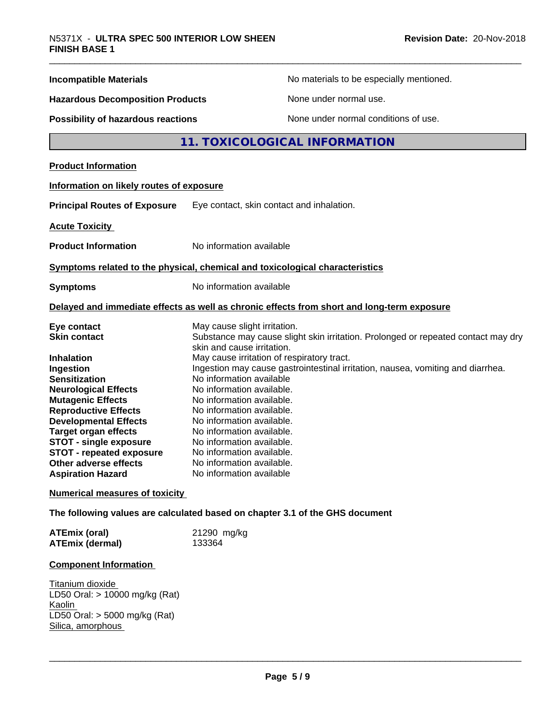| <b>Incompatible Materials</b>                            | No materials to be especially mentioned.                                                                        |  |  |
|----------------------------------------------------------|-----------------------------------------------------------------------------------------------------------------|--|--|
| <b>Hazardous Decomposition Products</b>                  | None under normal use.                                                                                          |  |  |
| Possibility of hazardous reactions                       | None under normal conditions of use.                                                                            |  |  |
|                                                          | 11. TOXICOLOGICAL INFORMATION                                                                                   |  |  |
| <b>Product Information</b>                               |                                                                                                                 |  |  |
| Information on likely routes of exposure                 |                                                                                                                 |  |  |
| <b>Principal Routes of Exposure</b>                      | Eye contact, skin contact and inhalation.                                                                       |  |  |
| <b>Acute Toxicity</b>                                    |                                                                                                                 |  |  |
| <b>Product Information</b>                               | No information available                                                                                        |  |  |
|                                                          | Symptoms related to the physical, chemical and toxicological characteristics                                    |  |  |
| <b>Symptoms</b>                                          | No information available                                                                                        |  |  |
|                                                          | Delayed and immediate effects as well as chronic effects from short and long-term exposure                      |  |  |
| Eye contact                                              | May cause slight irritation.                                                                                    |  |  |
| <b>Skin contact</b>                                      | Substance may cause slight skin irritation. Prolonged or repeated contact may dry<br>skin and cause irritation. |  |  |
| Inhalation                                               | May cause irritation of respiratory tract.                                                                      |  |  |
| Ingestion                                                | Ingestion may cause gastrointestinal irritation, nausea, vomiting and diarrhea.                                 |  |  |
| <b>Sensitization</b>                                     | No information available                                                                                        |  |  |
| <b>Neurological Effects</b>                              | No information available.                                                                                       |  |  |
| <b>Mutagenic Effects</b>                                 | No information available.                                                                                       |  |  |
| <b>Reproductive Effects</b>                              | No information available.                                                                                       |  |  |
| <b>Developmental Effects</b>                             | No information available.                                                                                       |  |  |
| <b>Target organ effects</b>                              | No information available.                                                                                       |  |  |
| <b>STOT - single exposure</b>                            | No information available.                                                                                       |  |  |
| <b>STOT - repeated exposure</b>                          | No information available.<br>No information available.                                                          |  |  |
| <b>Other adverse effects</b><br><b>Aspiration Hazard</b> | No information available                                                                                        |  |  |
| <b>Numerical measures of toxicity</b>                    |                                                                                                                 |  |  |
|                                                          | The following values are calculated based on chapter 3.1 of the GHS document                                    |  |  |
| <b>ATEmix (oral)</b>                                     | 21290 mg/kg                                                                                                     |  |  |
| <b>ATEmix (dermal)</b>                                   | 133364                                                                                                          |  |  |
|                                                          |                                                                                                                 |  |  |

#### **Component Information**

Titanium dioxide LD50 Oral: > 10000 mg/kg (Rat) Kaolin LD50 Oral: > 5000 mg/kg (Rat) Silica, amorphous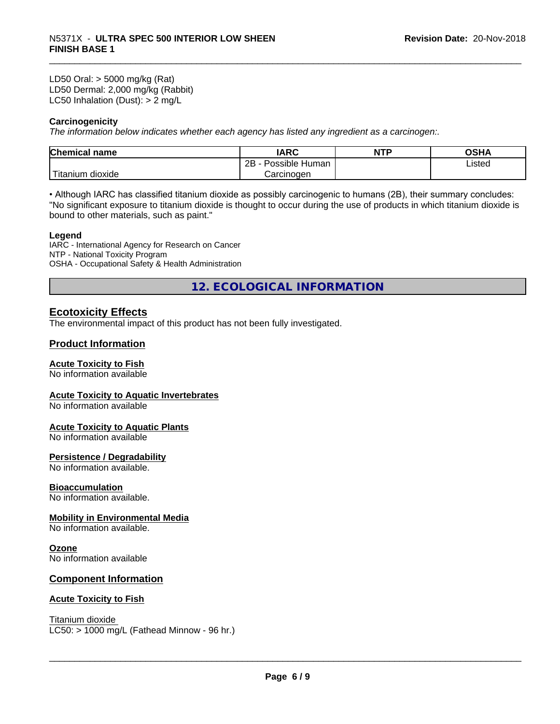LD50 Oral: > 5000 mg/kg (Rat) LD50 Dermal: 2,000 mg/kg (Rabbit) LC50 Inhalation (Dust): > 2 mg/L

#### **Carcinogenicity**

*The information below indicateswhether each agency has listed any ingredient as a carcinogen:.*

| <b>Chemical</b><br>name  | <b>IARC</b>                    | <b>NTP</b> | ດເ⊔∧<br>UJNA |
|--------------------------|--------------------------------|------------|--------------|
|                          | . .<br>2B<br>Human<br>Possible |            | Listed       |
| $-1$<br>Fitanium dioxide | Carcinoɑen                     |            |              |

• Although IARC has classified titanium dioxide as possibly carcinogenic to humans (2B), their summary concludes: "No significant exposure to titanium dioxide is thought to occur during the use of products in which titanium dioxide is bound to other materials, such as paint."

#### **Legend**

IARC - International Agency for Research on Cancer NTP - National Toxicity Program OSHA - Occupational Safety & Health Administration

**12. ECOLOGICAL INFORMATION**

#### **Ecotoxicity Effects**

The environmental impact of this product has not been fully investigated.

#### **Product Information**

#### **Acute Toxicity to Fish**

No information available

#### **Acute Toxicity to Aquatic Invertebrates**

No information available

#### **Acute Toxicity to Aquatic Plants**

No information available

#### **Persistence / Degradability**

No information available.

#### **Bioaccumulation**

No information available.

#### **Mobility in Environmental Media**

No information available.

#### **Ozone**

No information available

#### **Component Information**

#### **Acute Toxicity to Fish**

Titanium dioxide  $LC50:$  > 1000 mg/L (Fathead Minnow - 96 hr.)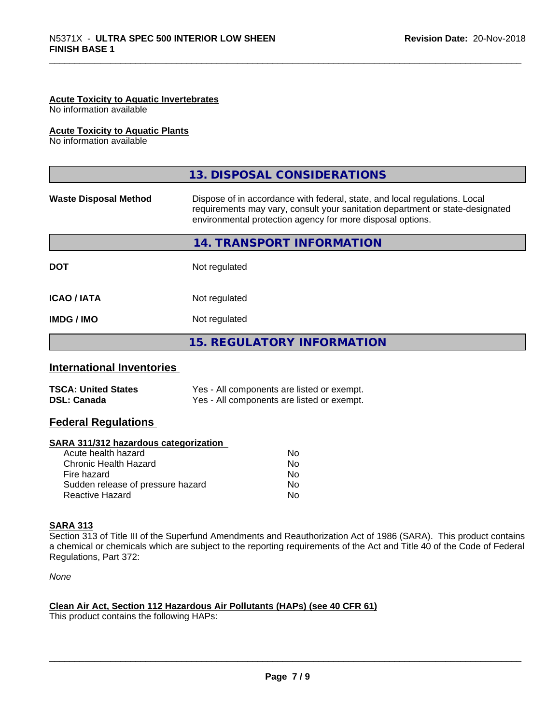#### **Acute Toxicity to Aquatic Invertebrates**

No information available

#### **Acute Toxicity to Aquatic Plants**

No information available

|                              | 13. DISPOSAL CONSIDERATIONS                                                                                                                                                                                               |
|------------------------------|---------------------------------------------------------------------------------------------------------------------------------------------------------------------------------------------------------------------------|
| <b>Waste Disposal Method</b> | Dispose of in accordance with federal, state, and local regulations. Local<br>requirements may vary, consult your sanitation department or state-designated<br>environmental protection agency for more disposal options. |
|                              | 14. TRANSPORT INFORMATION                                                                                                                                                                                                 |
| <b>DOT</b>                   | Not regulated                                                                                                                                                                                                             |
| <b>ICAO/IATA</b>             | Not regulated                                                                                                                                                                                                             |
| <b>IMDG/IMO</b>              | Not regulated                                                                                                                                                                                                             |
|                              | <b>15. REGULATORY INFORMATION</b>                                                                                                                                                                                         |

#### **International Inventories**

| <b>TSCA: United States</b> | Yes - All components are listed or exempt. |
|----------------------------|--------------------------------------------|
| <b>DSL: Canada</b>         | Yes - All components are listed or exempt. |

#### **Federal Regulations**

#### **SARA 311/312 hazardous categorization**

| No. |
|-----|
| Nο  |
| N٥  |
| Nο  |
| N٥  |
|     |

#### **SARA 313**

Section 313 of Title III of the Superfund Amendments and Reauthorization Act of 1986 (SARA). This product contains a chemical or chemicals which are subject to the reporting requirements of the Act and Title 40 of the Code of Federal Regulations, Part 372:

*None*

#### **Clean Air Act,Section 112 Hazardous Air Pollutants (HAPs) (see 40 CFR 61)**

This product contains the following HAPs: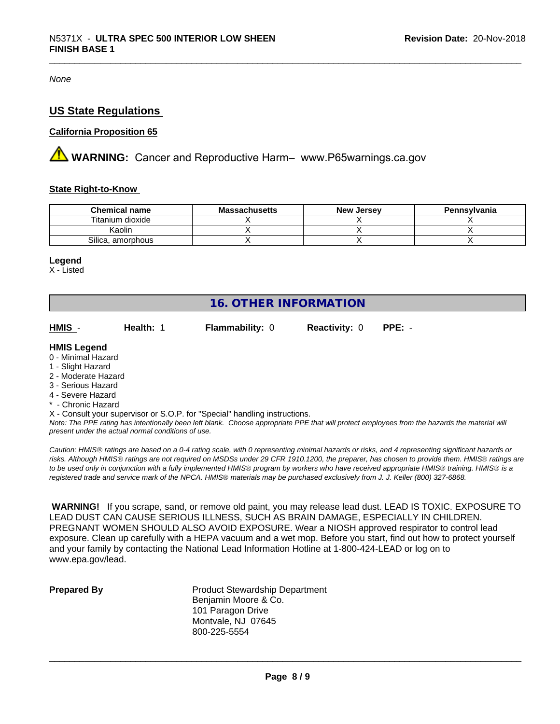*None*

#### **US State Regulations**

#### **California Proposition 65**

**AN** WARNING: Cancer and Reproductive Harm– www.P65warnings.ca.gov

#### **State Right-to-Know**

| <b>Chemical name</b> | <b>Massachusetts</b> | <b>New Jersey</b> | Pennsylvania |
|----------------------|----------------------|-------------------|--------------|
| Titanium dioxide     |                      |                   |              |
| Kaolin               |                      |                   |              |
| Silica, amorphous    |                      |                   |              |

#### **Legend**

X - Listed

| 16. OTHER INFORMATION                                                                                      |           |                                                                            |                      |          |  |  |
|------------------------------------------------------------------------------------------------------------|-----------|----------------------------------------------------------------------------|----------------------|----------|--|--|
| HMIS -                                                                                                     | Health: 1 | <b>Flammability: 0</b>                                                     | <b>Reactivity: 0</b> | $PPE: -$ |  |  |
| <b>HMIS Legend</b><br>0 - Minimal Hazard<br>1 - Slight Hazard<br>2 - Moderate Hazard<br>3 - Serious Hazard |           |                                                                            |                      |          |  |  |
| 4 - Severe Hazard<br>* - Chronic Hazard                                                                    |           | X - Consult your supervisor or S.O.P. for "Special" handling instructions. |                      |          |  |  |

*Note: The PPE rating has intentionally been left blank. Choose appropriate PPE that will protect employees from the hazards the material will present under the actual normal conditions of use.*

*Caution: HMISÒ ratings are based on a 0-4 rating scale, with 0 representing minimal hazards or risks, and 4 representing significant hazards or risks. Although HMISÒ ratings are not required on MSDSs under 29 CFR 1910.1200, the preparer, has chosen to provide them. HMISÒ ratings are to be used only in conjunction with a fully implemented HMISÒ program by workers who have received appropriate HMISÒ training. HMISÒ is a registered trade and service mark of the NPCA. HMISÒ materials may be purchased exclusively from J. J. Keller (800) 327-6868.*

 **WARNING!** If you scrape, sand, or remove old paint, you may release lead dust. LEAD IS TOXIC. EXPOSURE TO LEAD DUST CAN CAUSE SERIOUS ILLNESS, SUCH AS BRAIN DAMAGE, ESPECIALLY IN CHILDREN. PREGNANT WOMEN SHOULD ALSO AVOID EXPOSURE. Wear a NIOSH approved respirator to control lead exposure. Clean up carefully with a HEPA vacuum and a wet mop. Before you start, find out how to protect yourself and your family by contacting the National Lead Information Hotline at 1-800-424-LEAD or log on to www.epa.gov/lead.

**Prepared By** Product Stewardship Department Benjamin Moore & Co. 101 Paragon Drive Montvale, NJ 07645 800-225-5554